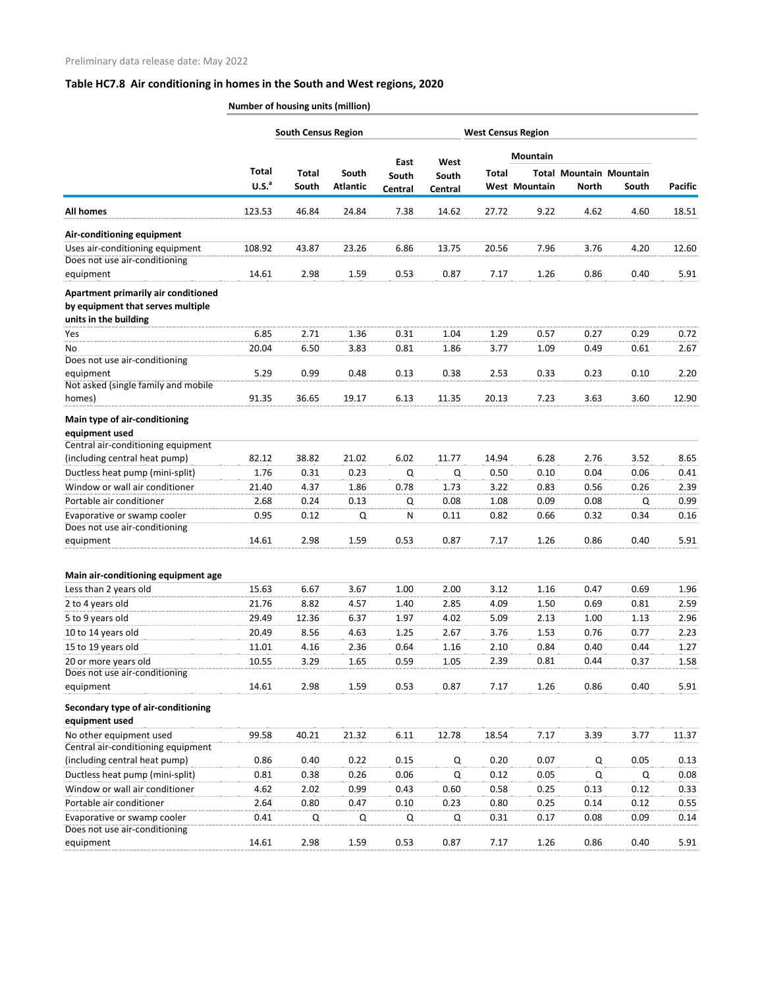|                                                                                                   |                            | <b>South Census Region</b> |                          |                          | <b>West Census Region</b> |              |                      |              |                                         |              |
|---------------------------------------------------------------------------------------------------|----------------------------|----------------------------|--------------------------|--------------------------|---------------------------|--------------|----------------------|--------------|-----------------------------------------|--------------|
|                                                                                                   |                            |                            |                          |                          |                           |              | Mountain             |              |                                         |              |
|                                                                                                   | Total<br>U.S. <sup>a</sup> | <b>Total</b><br>South      | South<br><b>Atlantic</b> | East<br>South<br>Central | West<br>South<br>Central  | Total        | <b>West Mountain</b> | <b>North</b> | <b>Total Mountain Mountain</b><br>South | Pacific      |
| <b>All homes</b>                                                                                  | 123.53                     | 46.84                      | 24.84                    | 7.38                     | 14.62                     | 27.72        | 9.22                 | 4.62         | 4.60                                    | 18.51        |
| Air-conditioning equipment                                                                        |                            |                            |                          |                          |                           |              |                      |              |                                         |              |
| Uses air-conditioning equipment                                                                   | 108.92                     | 43.87                      | 23.26                    | 6.86                     | 13.75                     | 20.56        | 7.96                 | 3.76         | 4.20                                    | 12.60        |
| Does not use air-conditioning<br>equipment                                                        | 14.61                      | 2.98                       | 1.59                     | 0.53                     | 0.87                      | 7.17         | 1.26                 | 0.86         | 0.40                                    | 5.91         |
| Apartment primarily air conditioned<br>by equipment that serves multiple<br>units in the building |                            |                            |                          |                          |                           |              |                      |              |                                         |              |
| Yes                                                                                               | 6.85                       | 2.71                       | 1.36                     | 0.31                     | 1.04                      | 1.29         | 0.57                 | 0.27         | 0.29                                    | 0.72         |
| No                                                                                                | 20.04                      | 6.50                       | 3.83                     | 0.81                     | 1.86                      | 3.77         | 1.09                 | 0.49         | 0.61                                    | 2.67         |
| Does not use air-conditioning                                                                     |                            |                            |                          |                          |                           |              |                      |              |                                         |              |
| equipment                                                                                         | 5.29                       | 0.99                       | 0.48                     | 0.13                     | 0.38                      | 2.53         | 0.33                 | 0.23         | 0.10                                    | 2.20         |
| Not asked (single family and mobile<br>homes)                                                     | 91.35                      | 36.65                      | 19.17                    | 6.13                     | 11.35                     | 20.13        | 7.23                 | 3.63         | 3.60                                    | 12.90        |
| Main type of air-conditioning<br>equipment used                                                   |                            |                            |                          |                          |                           |              |                      |              |                                         |              |
| Central air-conditioning equipment                                                                |                            |                            |                          |                          |                           |              |                      |              |                                         |              |
| (including central heat pump)                                                                     | 82.12                      | 38.82                      | 21.02                    | 6.02                     | 11.77                     | 14.94        | 6.28                 | 2.76         | 3.52                                    | 8.65         |
| Ductless heat pump (mini-split)<br>Window or wall air conditioner                                 | 1.76                       | 0.31                       | 0.23                     | Q                        | Q                         | 0.50         | 0.10                 | 0.04<br>0.56 | 0.06                                    | 0.41         |
| Portable air conditioner                                                                          | 21.40<br>2.68              | 4.37<br>0.24               | 1.86<br>0.13             | 0.78<br>Q                | 1.73<br>0.08              | 3.22<br>1.08 | 0.83<br>0.09         | 0.08         | 0.26<br>Q                               | 2.39<br>0.99 |
| Evaporative or swamp cooler                                                                       | 0.95                       | 0.12                       | Q                        | N                        | 0.11                      | 0.82         | 0.66                 | 0.32         | 0.34                                    | 0.16         |
| Does not use air-conditioning                                                                     |                            |                            |                          |                          |                           |              |                      |              |                                         |              |
| equipment                                                                                         | 14.61                      | 2.98                       | 1.59                     | 0.53                     | 0.87                      | 7.17         | 1.26                 | 0.86         | 0.40                                    | 5.91         |
| Main air-conditioning equipment age                                                               |                            |                            |                          |                          |                           |              |                      |              |                                         |              |
| Less than 2 years old                                                                             | 15.63                      | 6.67                       | 3.67                     | 1.00                     | 2.00                      | 3.12         | 1.16                 | 0.47         | 0.69                                    | 1.96         |
| 2 to 4 years old                                                                                  | 21.76                      | 8.82                       | 4.57                     | 1.40                     | 2.85                      | 4.09         | 1.50                 | 0.69         | 0.81                                    | 2.59         |
| 5 to 9 years old                                                                                  | 29.49                      | 12.36                      | 6.37                     | 1.97                     | 4.02                      | 5.09         | 2.13                 | 1.00         | 1.13                                    | 2.96         |
| 10 to 14 years old                                                                                | 20.49                      | 8.56                       | 4.63                     | 1.25                     | 2.67                      | 3.76         | 1.53                 | 0.76         | 0.77                                    | 2.23         |
| 15 to 19 years old                                                                                | 11.01                      | 4.16                       | 2.36                     | 0.64                     | 1.16                      | 2.10         | 0.84                 | 0.40         | 0.44                                    | 1.27         |
| 20 or more years old                                                                              | 10.55                      | 3.29                       | 1.65                     | 0.59                     | 1.05                      | 2.39         | 0.81                 | 0.44         | 0.37                                    | 1.58         |
| Does not use air-conditioning                                                                     |                            |                            |                          |                          |                           |              |                      |              |                                         |              |
| equipment                                                                                         | 14.61                      | 2.98                       | 1.59                     | 0.53                     | 0.87                      | 7.17         | 1.26                 | 0.86         | 0.40                                    | 5.91         |
| Secondary type of air-conditioning<br>equipment used                                              |                            |                            |                          |                          |                           |              |                      |              |                                         |              |
| No other equipment used                                                                           | 99.58                      | 40.21                      | 21.32                    | 6.11                     | 12.78                     | 18.54        | 7.17                 | 3.39         | 3.77                                    | 11.37        |
| Central air-conditioning equipment                                                                |                            |                            |                          |                          |                           |              |                      |              |                                         |              |
| (including central heat pump)                                                                     | 0.86                       | 0.40                       | 0.22                     | 0.15                     | Q                         | 0.20         | 0.07                 | Q            | 0.05                                    | 0.13         |
| Ductless heat pump (mini-split)                                                                   | 0.81                       | 0.38                       | 0.26                     | 0.06                     | $\mathsf Q$               | 0.12         | 0.05                 | Q            | Q                                       | 0.08         |
| Window or wall air conditioner                                                                    | 4.62                       | 2.02                       | 0.99                     | 0.43                     | 0.60                      | 0.58         | 0.25                 | 0.13         | 0.12                                    | 0.33         |
| Portable air conditioner                                                                          | 2.64                       | 0.80                       | 0.47                     | 0.10                     | 0.23                      | 0.80         | 0.25                 | 0.14         | 0.12                                    | 0.55         |
| Evaporative or swamp cooler<br>Does not use air-conditioning                                      | 0.41                       | Q                          | Q                        | Q                        | Q                         | 0.31         | 0.17                 | 0.08         | 0.09                                    | 0.14         |
| equipment                                                                                         | 14.61                      | 2.98                       | 1.59                     | 0.53                     | 0.87                      | 7.17         | 1.26                 | 0.86         | 0.40                                    | 5.91         |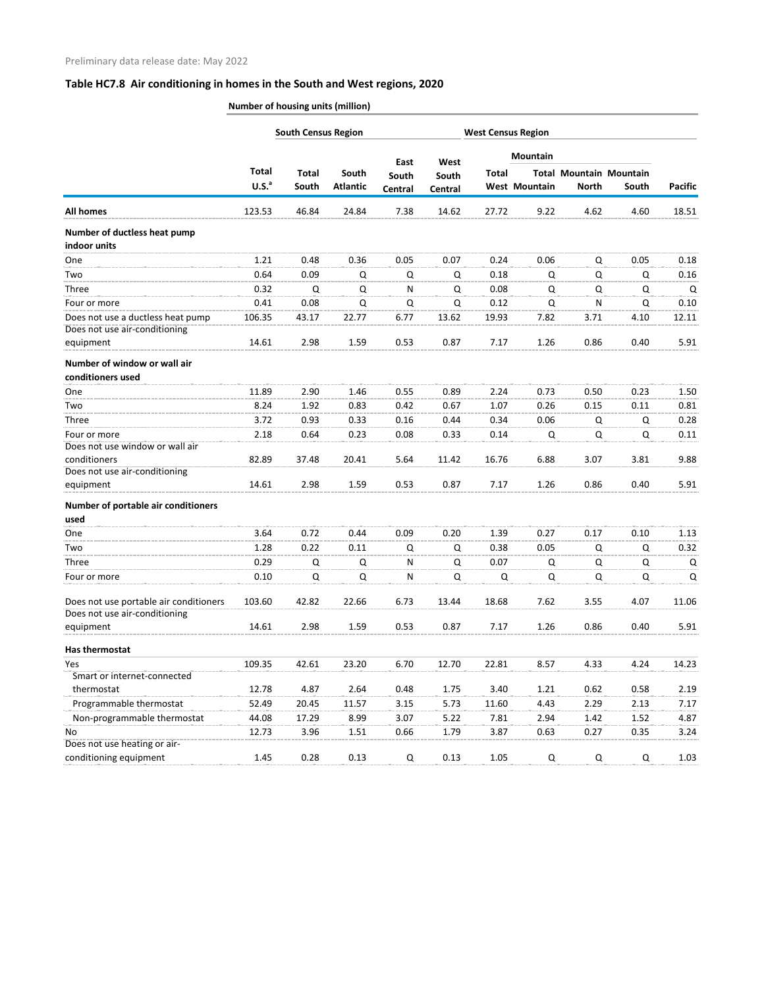|                                                                    |                                   | <b>South Census Region</b> |                          |                         |                         |              | <b>West Census Region</b> |              |                                         |                |
|--------------------------------------------------------------------|-----------------------------------|----------------------------|--------------------------|-------------------------|-------------------------|--------------|---------------------------|--------------|-----------------------------------------|----------------|
|                                                                    |                                   |                            |                          | East                    | West                    |              | Mountain                  |              |                                         |                |
|                                                                    | <b>Total</b><br>U.S. <sup>a</sup> | <b>Total</b><br>South      | South<br><b>Atlantic</b> | South<br><b>Central</b> | South<br><b>Central</b> | <b>Total</b> | <b>West Mountain</b>      | <b>North</b> | <b>Total Mountain Mountain</b><br>South | <b>Pacific</b> |
| <b>All homes</b>                                                   | 123.53                            | 46.84                      | 24.84                    | 7.38                    | 14.62                   | 27.72        | 9.22                      | 4.62         | 4.60                                    | 18.51          |
| Number of ductless heat pump<br>indoor units                       |                                   |                            |                          |                         |                         |              |                           |              |                                         |                |
| One                                                                | 1.21                              | 0.48                       | 0.36                     | 0.05                    | 0.07                    | 0.24         | 0.06                      | Q            | 0.05                                    | 0.18           |
| Two                                                                | 0.64                              | 0.09                       | Q                        | Q                       | Q                       | 0.18         | Q                         | Q            | Q                                       | 0.16           |
| Three                                                              | 0.32                              | Q                          | Q                        | N                       | Q                       | 0.08         | Q                         | Q            | Q                                       | Q              |
| Four or more                                                       | 0.41                              | 0.08                       | Q                        | Q                       | Q                       | 0.12         | Q                         | N            | Q                                       | 0.10           |
| Does not use a ductless heat pump<br>Does not use air-conditioning | 106.35                            | 43.17                      | 22.77                    | 6.77                    | 13.62                   | 19.93        | 7.82                      | 3.71         | 4.10                                    | 12.11          |
| equipment                                                          | 14.61                             | 2.98                       | 1.59                     | 0.53                    | 0.87                    | 7.17         | 1.26                      | 0.86         | 0.40                                    | 5.91           |
| Number of window or wall air                                       |                                   |                            |                          |                         |                         |              |                           |              |                                         |                |
| conditioners used                                                  |                                   |                            |                          |                         |                         |              |                           |              |                                         |                |
| One                                                                | 11.89                             | 2.90                       | 1.46                     | 0.55                    | 0.89                    | 2.24         | 0.73                      | 0.50         | 0.23                                    | 1.50           |
| Two                                                                | 8.24                              | 1.92                       | 0.83                     | 0.42                    | 0.67                    | 1.07         | 0.26                      | 0.15         | 0.11                                    | 0.81           |
| Three                                                              | 3.72                              | 0.93                       | 0.33                     | 0.16                    | 0.44                    | 0.34         | 0.06                      | Q            | Q                                       | 0.28           |
| Four or more<br>Does not use window or wall air                    | 2.18                              | 0.64                       | 0.23                     | 0.08                    | 0.33                    | 0.14         | Q                         | Q            | Q                                       | 0.11           |
| conditioners                                                       | 82.89                             | 37.48                      | 20.41                    | 5.64                    | 11.42                   | 16.76        | 6.88                      | 3.07         | 3.81                                    | 9.88           |
| Does not use air-conditioning                                      |                                   |                            |                          |                         |                         |              |                           |              |                                         |                |
| equipment                                                          | 14.61                             | 2.98                       | 1.59                     | 0.53                    | 0.87                    | 7.17         | 1.26                      | 0.86         | 0.40                                    | 5.91           |
| Number of portable air conditioners                                |                                   |                            |                          |                         |                         |              |                           |              |                                         |                |
| used                                                               |                                   |                            |                          |                         |                         |              |                           |              |                                         |                |
| One                                                                | 3.64                              | 0.72                       | 0.44                     | 0.09                    | 0.20                    | 1.39         | 0.27                      | 0.17         | 0.10                                    | 1.13           |
| Two                                                                | 1.28                              | 0.22                       | 0.11                     | Q                       | Q                       | 0.38         | 0.05                      | Q            | Q                                       | 0.32           |
| Three                                                              | 0.29                              | Q                          | Q                        | N                       | Q                       | 0.07         | Q                         | Q            | Q                                       | Q              |
| Four or more                                                       | 0.10                              | Q                          | Q                        | N                       | Q                       | Q            | Q                         | Q            | Q                                       | Q              |
| Does not use portable air conditioners                             | 103.60                            | 42.82                      | 22.66                    | 6.73                    | 13.44                   | 18.68        | 7.62                      | 3.55         | 4.07                                    | 11.06          |
| Does not use air-conditioning<br>equipment                         | 14.61                             | 2.98                       | 1.59                     | 0.53                    | 0.87                    | 7.17         | 1.26                      | 0.86         | 0.40                                    | 5.91           |
| Has thermostat                                                     |                                   |                            |                          |                         |                         |              |                           |              |                                         |                |
| Yes                                                                | 109.35                            | 42.61                      | 23.20                    | 6.70                    | 12.70                   | 22.81        | 8.57                      | 4.33         | 4.24                                    | 14.23          |
| Smart or internet-connected                                        |                                   |                            |                          |                         |                         |              |                           |              |                                         |                |
| thermostat                                                         | 12.78                             | 4.87                       | 2.64                     | 0.48                    | 1.75                    | 3.40         | 1.21                      | 0.62         | 0.58                                    | 2.19           |
| Programmable thermostat                                            | 52.49                             | 20.45                      | 11.57                    | 3.15                    | 5.73                    | 11.60        | 4.43                      | 2.29         | 2.13                                    | 7.17           |
| Non-programmable thermostat                                        | 44.08                             | 17.29                      | 8.99                     | 3.07                    | 5.22                    | 7.81         | 2.94                      | 1.42         | 1.52                                    | 4.87           |
| No                                                                 | 12.73                             | 3.96                       | 1.51                     | 0.66                    | 1.79                    | 3.87         | 0.63                      | 0.27         | 0.35                                    | 3.24           |
| Does not use heating or air-                                       |                                   |                            |                          |                         |                         |              |                           |              |                                         |                |
| conditioning equipment                                             | 1.45                              | 0.28                       | 0.13                     | Q                       | 0.13                    | 1.05         | Q                         | Q            | Q                                       | 1.03           |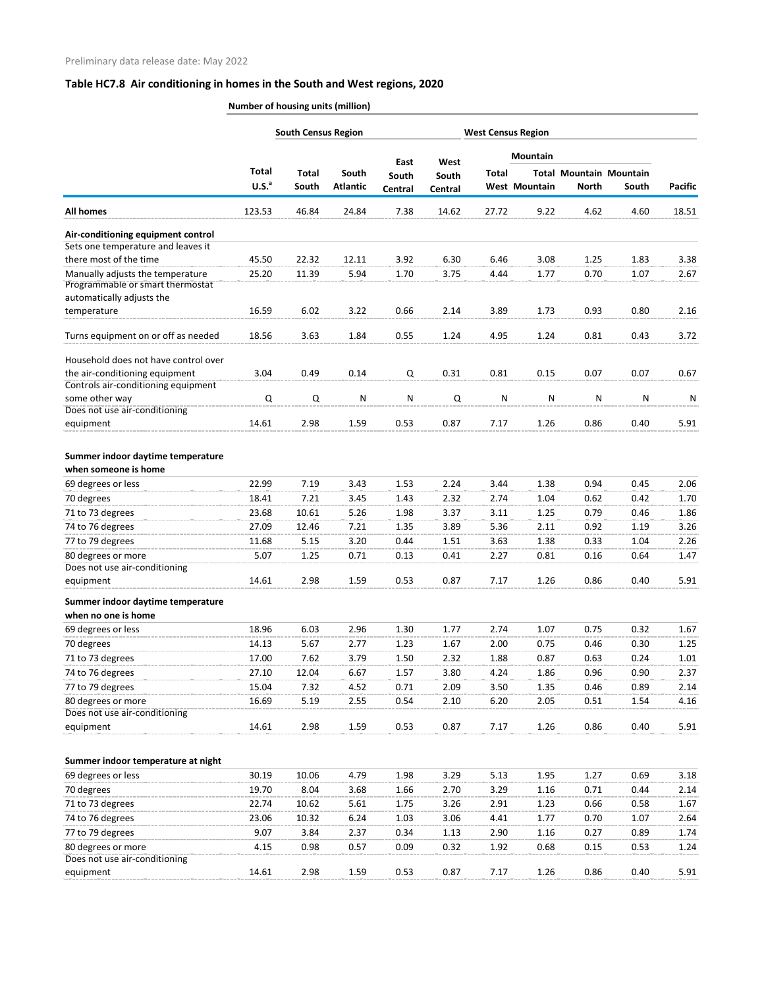|                                            | <b>South Census Region</b><br><b>West Census Region</b> |              |                 |                         |                  |              |                      |              |                                |                |
|--------------------------------------------|---------------------------------------------------------|--------------|-----------------|-------------------------|------------------|--------------|----------------------|--------------|--------------------------------|----------------|
|                                            |                                                         |              |                 |                         |                  |              | <b>Mountain</b>      |              |                                |                |
|                                            | <b>Total</b>                                            | <b>Total</b> | South           | East                    | West             | <b>Total</b> |                      |              | <b>Total Mountain Mountain</b> |                |
|                                            | U.S. <sup>a</sup>                                       | South        | <b>Atlantic</b> | South<br><b>Central</b> | South<br>Central |              | <b>West Mountain</b> | <b>North</b> | South                          | <b>Pacific</b> |
| <b>All homes</b>                           | 123.53                                                  | 46.84        | 24.84           | 7.38                    | 14.62            | 27.72        | 9.22                 | 4.62         | 4.60                           | 18.51          |
| Air-conditioning equipment control         |                                                         |              |                 |                         |                  |              |                      |              |                                |                |
| Sets one temperature and leaves it         |                                                         |              |                 |                         |                  |              |                      |              |                                |                |
| there most of the time                     | 45.50                                                   | 22.32        | 12.11           | 3.92                    | 6.30             | 6.46         | 3.08                 | 1.25         | 1.83                           | 3.38           |
| Manually adjusts the temperature           | 25.20                                                   | 11.39        | 5.94            | 1.70                    | 3.75             | 4.44         | 1.77                 | 0.70         | 1.07                           | 2.67           |
| Programmable or smart thermostat           |                                                         |              |                 |                         |                  |              |                      |              |                                |                |
| automatically adjusts the                  |                                                         |              | 3.22            |                         |                  |              |                      |              | 0.80                           |                |
| temperature                                | 16.59                                                   | 6.02         |                 | 0.66                    | 2.14             | 3.89         | 1.73                 | 0.93         |                                | 2.16           |
| Turns equipment on or off as needed        | 18.56                                                   | 3.63         | 1.84            | 0.55                    | 1.24             | 4.95         | 1.24                 | 0.81         | 0.43                           | 3.72           |
| Household does not have control over       |                                                         |              |                 |                         |                  |              |                      |              |                                |                |
| the air-conditioning equipment             | 3.04                                                    | 0.49         | 0.14            | Q                       | 0.31             | 0.81         | 0.15                 | 0.07         | 0.07                           | 0.67           |
| Controls air-conditioning equipment        |                                                         |              |                 |                         |                  |              |                      |              |                                |                |
| some other way                             | Q                                                       | Q            | N               | N                       | $\mathsf Q$      | N            | N                    | N            | N                              | N              |
| Does not use air-conditioning<br>equipment | 14.61                                                   | 2.98         | 1.59            | 0.53                    | 0.87             | 7.17         | 1.26                 | 0.86         | 0.40                           | 5.91           |
|                                            |                                                         |              |                 |                         |                  |              |                      |              |                                |                |
| Summer indoor daytime temperature          |                                                         |              |                 |                         |                  |              |                      |              |                                |                |
| when someone is home                       |                                                         |              |                 |                         |                  |              |                      |              |                                |                |
| 69 degrees or less                         | 22.99                                                   | 7.19         | 3.43            | 1.53                    | 2.24             | 3.44         | 1.38                 | 0.94         | 0.45                           | 2.06           |
| 70 degrees                                 | 18.41                                                   | 7.21         | 3.45            | 1.43                    | 2.32             | 2.74         | 1.04                 | 0.62         | 0.42                           | 1.70           |
| 71 to 73 degrees                           | 23.68                                                   | 10.61        | 5.26            | 1.98                    | 3.37             | 3.11         | 1.25                 | 0.79         | 0.46                           | 1.86           |
| 74 to 76 degrees                           | 27.09                                                   | 12.46        | 7.21            | 1.35                    | 3.89             | 5.36         | 2.11                 | 0.92         | 1.19                           | 3.26           |
| 77 to 79 degrees                           | 11.68                                                   | 5.15         | 3.20            | 0.44                    | 1.51             | 3.63         | 1.38                 | 0.33         | 1.04                           | 2.26           |
| 80 degrees or more                         | 5.07                                                    | 1.25         | 0.71            | 0.13                    | 0.41             | 2.27         | 0.81                 | 0.16         | 0.64                           | 1.47           |
| Does not use air-conditioning              |                                                         |              |                 |                         |                  |              |                      |              |                                |                |
| equipment                                  | 14.61                                                   | 2.98         | 1.59            | 0.53                    | 0.87             | 7.17         | 1.26                 | 0.86         | 0.40                           | 5.91           |
| Summer indoor daytime temperature          |                                                         |              |                 |                         |                  |              |                      |              |                                |                |
| when no one is home                        |                                                         |              |                 |                         |                  |              |                      |              |                                |                |
| 69 degrees or less                         | 18.96                                                   | 6.03         | 2.96            | 1.30                    | 1.77             | 2.74         | 1.07                 | 0.75         | 0.32                           | 1.67           |
| 70 degrees                                 | 14.13                                                   | 5.67         | 2.77            | 1.23                    | 1.67             | 2.00         | 0.75                 | 0.46         | 0.30                           | 1.25           |
| 71 to 73 degrees                           | 17.00                                                   | 7.62         | 3.79            | 1.50                    | 2.32             | 1.88         | 0.87                 | 0.63         | 0.24                           | 1.01           |
| 74 to 76 degrees                           | 27.10                                                   | 12.04        | 6.67            | 1.57                    | 3.80             | 4.24         | 1.86                 | 0.96         | 0.90                           | 2.37           |
| 77 to 79 degrees                           | 15.04                                                   | 7.32         | 4.52            | 0.71                    | 2.09             | 3.50         | 1.35                 | 0.46         | 0.89                           | 2.14           |
| 80 degrees or more                         | 16.69                                                   | 5.19         | 2.55            | 0.54                    | 2.10             | 6.20         | 2.05                 | 0.51         | 1.54                           | 4.16           |
| Does not use air-conditioning              |                                                         |              |                 |                         |                  |              |                      |              |                                |                |
| equipment                                  | 14.61                                                   | 2.98         | 1.59            | 0.53                    | 0.87             | 7.17         | 1.26                 | 0.86         | 0.40                           | 5.91           |
|                                            |                                                         |              |                 |                         |                  |              |                      |              |                                |                |
| Summer indoor temperature at night         |                                                         |              |                 |                         |                  |              |                      |              |                                |                |
| 69 degrees or less                         | 30.19                                                   | 10.06        | 4.79            | 1.98                    | 3.29             | 5.13         | 1.95                 | 1.27         | 0.69                           | 3.18           |
| 70 degrees                                 | 19.70                                                   | 8.04         | 3.68            | 1.66                    | 2.70             | 3.29         | 1.16                 | 0.71         | 0.44                           | 2.14           |
| 71 to 73 degrees                           | 22.74                                                   | 10.62        | 5.61            | 1.75                    | 3.26             | 2.91         | 1.23                 | 0.66         | 0.58                           | 1.67           |
| 74 to 76 degrees                           | 23.06                                                   | 10.32        | 6.24            | 1.03                    | 3.06             | 4.41         | 1.77                 | 0.70         | 1.07                           | 2.64           |
| 77 to 79 degrees                           | 9.07                                                    | 3.84         | 2.37            | 0.34                    | 1.13             | 2.90         | 1.16                 | 0.27         | 0.89                           | 1.74           |
| 80 degrees or more                         | 4.15                                                    | 0.98         | 0.57            | 0.09                    | 0.32             | 1.92         | 0.68                 | 0.15         | 0.53                           | 1.24           |
| Does not use air-conditioning<br>equipment | 14.61                                                   | 2.98         | 1.59            | 0.53                    | 0.87             | 7.17         | 1.26                 | 0.86         | 0.40                           | 5.91           |
|                                            |                                                         |              |                 |                         |                  |              |                      |              |                                |                |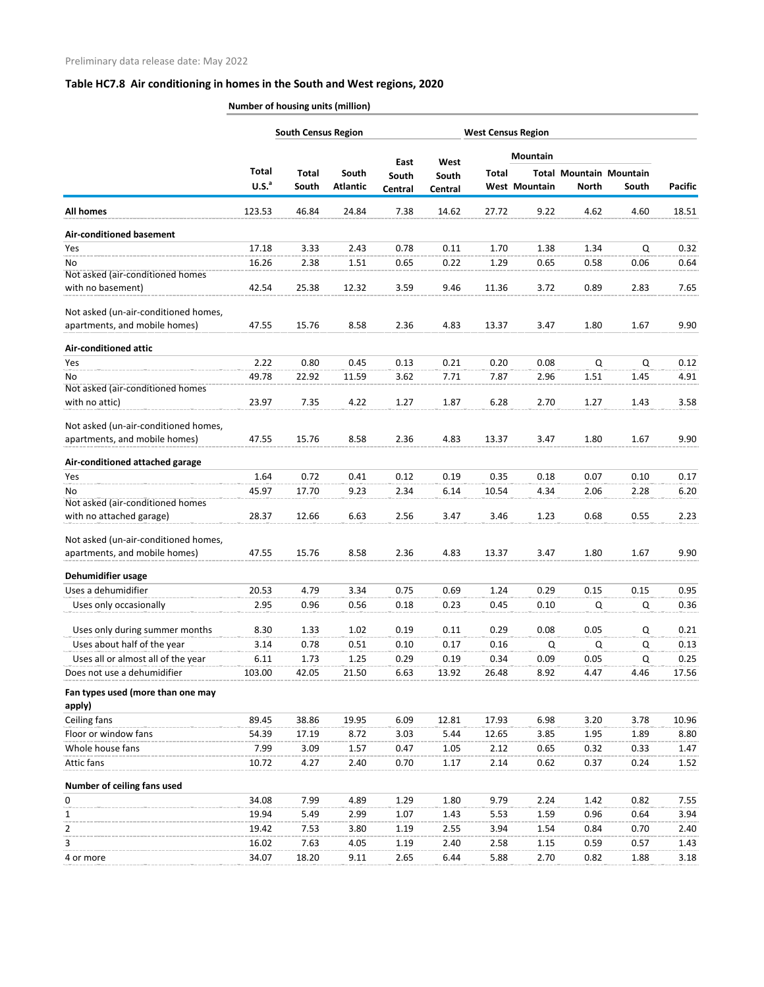|                                                                       |                                   | <b>South Census Region</b> |                          |                                 |                                 | <b>West Census Region</b> |                      |              |                                         |                |
|-----------------------------------------------------------------------|-----------------------------------|----------------------------|--------------------------|---------------------------------|---------------------------------|---------------------------|----------------------|--------------|-----------------------------------------|----------------|
|                                                                       |                                   |                            |                          |                                 |                                 |                           | Mountain             |              |                                         |                |
|                                                                       | <b>Total</b><br>U.S. <sup>a</sup> | <b>Total</b><br>South      | South<br><b>Atlantic</b> | East<br>South<br><b>Central</b> | West<br>South<br><b>Central</b> | Total                     | <b>West Mountain</b> | <b>North</b> | <b>Total Mountain Mountain</b><br>South | <b>Pacific</b> |
| <b>All homes</b>                                                      | 123.53                            | 46.84                      | 24.84                    | 7.38                            | 14.62                           | 27.72                     | 9.22                 | 4.62         | 4.60                                    | 18.51          |
| Air-conditioned basement                                              |                                   |                            |                          |                                 |                                 |                           |                      |              |                                         |                |
| Yes                                                                   | 17.18                             | 3.33                       | 2.43                     | 0.78                            | 0.11                            | 1.70                      | 1.38                 | 1.34         | Q                                       | 0.32           |
| No                                                                    | 16.26                             | 2.38                       | 1.51                     | 0.65                            | 0.22                            | 1.29                      | 0.65                 | 0.58         | 0.06                                    | 0.64           |
| Not asked (air-conditioned homes                                      |                                   |                            |                          |                                 |                                 |                           |                      |              |                                         |                |
| with no basement)                                                     | 42.54                             | 25.38                      | 12.32                    | 3.59                            | 9.46                            | 11.36                     | 3.72                 | 0.89         | 2.83                                    | 7.65           |
| Not asked (un-air-conditioned homes,<br>apartments, and mobile homes) | 47.55                             | 15.76                      | 8.58                     | 2.36                            | 4.83                            | 13.37                     | 3.47                 | 1.80         | 1.67                                    | 9.90           |
| Air-conditioned attic                                                 |                                   |                            |                          |                                 |                                 |                           |                      |              |                                         |                |
| Yes                                                                   | 2.22                              | 0.80                       | 0.45                     | 0.13                            | 0.21                            | 0.20                      | 0.08                 | Q            | Q                                       | 0.12           |
| No                                                                    | 49.78                             | 22.92                      | 11.59                    | 3.62                            | 7.71                            | 7.87                      | 2.96                 | 1.51         | 1.45                                    | 4.91           |
| Not asked (air-conditioned homes<br>with no attic)                    | 23.97                             | 7.35                       | 4.22                     | 1.27                            | 1.87                            | 6.28                      | 2.70                 | 1.27         | 1.43                                    | 3.58           |
| Not asked (un-air-conditioned homes,                                  |                                   |                            |                          |                                 |                                 |                           |                      |              |                                         |                |
| apartments, and mobile homes)                                         | 47.55                             | 15.76                      | 8.58                     | 2.36                            | 4.83                            | 13.37                     | 3.47                 | 1.80         | 1.67                                    | 9.90           |
|                                                                       |                                   |                            |                          |                                 |                                 |                           |                      |              |                                         |                |
| Air-conditioned attached garage                                       | 1.64                              | 0.72                       | 0.41                     | 0.12                            | 0.19                            | 0.35                      |                      | 0.07         | 0.10                                    | 0.17           |
| Yes<br>No                                                             | 45.97                             | 17.70                      | 9.23                     | 2.34                            | 6.14                            | 10.54                     | 0.18<br>4.34         | 2.06         | 2.28                                    | 6.20           |
| Not asked (air-conditioned homes                                      |                                   |                            |                          |                                 |                                 |                           |                      |              |                                         |                |
| with no attached garage)                                              | 28.37                             | 12.66                      | 6.63                     | 2.56                            | 3.47                            | 3.46                      | 1.23                 | 0.68         | 0.55                                    | 2.23           |
| Not asked (un-air-conditioned homes,                                  |                                   |                            |                          |                                 |                                 |                           |                      |              |                                         |                |
| apartments, and mobile homes)                                         | 47.55                             | 15.76                      | 8.58                     | 2.36                            | 4.83                            | 13.37                     | 3.47                 | 1.80         | 1.67                                    | 9.90           |
| Dehumidifier usage                                                    |                                   |                            |                          |                                 |                                 |                           |                      |              |                                         |                |
| Uses a dehumidifier                                                   | 20.53                             | 4.79                       | 3.34                     | 0.75                            | 0.69                            | 1.24                      | 0.29                 | 0.15         | 0.15                                    | 0.95           |
| Uses only occasionally                                                | 2.95                              | 0.96                       | 0.56                     | 0.18                            | 0.23                            | 0.45                      | 0.10                 | Q            | Q                                       | 0.36           |
| Uses only during summer months                                        | 8.30                              |                            | 1.02                     | 0.19                            | 0.11                            | 0.29                      | 0.08                 | 0.05         |                                         |                |
| Uses about half of the year                                           | 3.14                              | 1.33<br>0.78               | 0.51                     | 0.10                            | 0.17                            | 0.16                      | Q                    | Q            | Q<br>Q                                  | 0.21<br>0.13   |
| Uses all or almost all of the year                                    | 6.11                              | 1.73                       | 1.25                     | 0.29                            | 0.19                            | 0.34                      | 0.09                 | 0.05         | Q                                       | 0.25           |
| Does not use a dehumidifier                                           | 103.00                            | 42.05                      | 21.50                    | 6.63                            | 13.92                           | 26.48                     | 8.92                 | 4.47         | 4.46                                    | 17.56          |
| Fan types used (more than one may                                     |                                   |                            |                          |                                 |                                 |                           |                      |              |                                         |                |
| apply)                                                                |                                   |                            |                          |                                 |                                 |                           |                      |              |                                         |                |
| Ceiling fans                                                          | 89.45                             | 38.86                      | 19.95                    | 6.09                            | 12.81                           | 17.93                     | 6.98                 | 3.20         | 3.78                                    | 10.96          |
| Floor or window fans                                                  | 54.39                             | 17.19                      | 8.72                     | 3.03                            | 5.44                            | 12.65                     | 3.85                 | 1.95         | 1.89                                    | 8.80           |
| Whole house fans                                                      | 7.99                              | 3.09                       | 1.57                     | 0.47                            | 1.05                            | 2.12                      | 0.65                 | 0.32         | 0.33                                    | 1.47           |
| Attic fans                                                            | 10.72                             | 4.27                       | 2.40                     | 0.70                            | 1.17                            | 2.14                      | 0.62                 | 0.37         | 0.24                                    | 1.52           |
| Number of ceiling fans used                                           |                                   |                            |                          |                                 |                                 |                           |                      |              |                                         |                |
| 0                                                                     | 34.08                             | 7.99                       | 4.89                     | 1.29                            | 1.80                            | 9.79                      | 2.24                 | 1.42         | 0.82                                    | 7.55           |
| 1                                                                     | 19.94                             | 5.49                       | 2.99                     | 1.07                            | 1.43                            | 5.53                      | 1.59                 | 0.96         | 0.64                                    | 3.94           |
| 2                                                                     | 19.42                             | 7.53                       | 3.80                     | 1.19                            | 2.55                            | 3.94                      | 1.54                 | 0.84         | 0.70                                    | 2.40           |
| 3<br>4 or more                                                        | 16.02<br>34.07                    | 7.63                       | 4.05                     | 1.19<br>2.65                    | 2.40<br>6.44                    | 2.58<br>5.88              | 1.15                 | 0.59<br>0.82 | 0.57<br>1.88                            | 1.43<br>3.18   |
|                                                                       |                                   | 18.20                      | 9.11                     |                                 |                                 |                           | 2.70                 |              |                                         |                |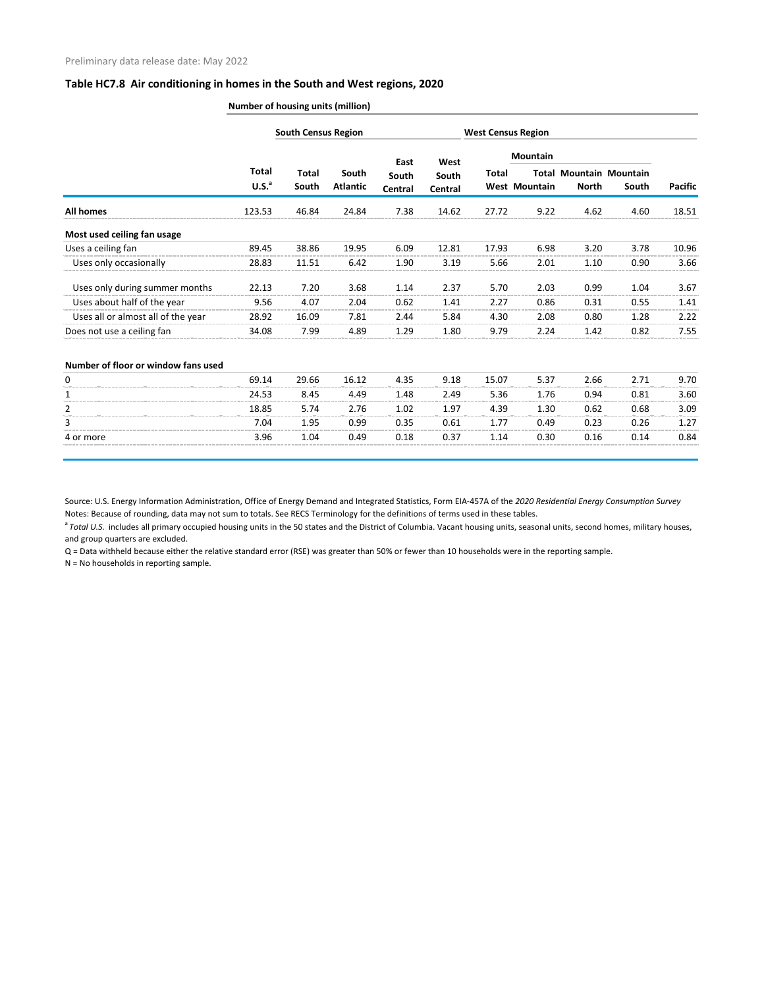**Number of housing units (million)**

|                                     |                                   | <b>South Census Region</b> |                          |                  |                  |              | <b>West Census Region</b> |                                                |       |                |
|-------------------------------------|-----------------------------------|----------------------------|--------------------------|------------------|------------------|--------------|---------------------------|------------------------------------------------|-------|----------------|
|                                     |                                   |                            |                          | East             | West             |              | <b>Mountain</b>           |                                                |       |                |
|                                     | <b>Total</b><br>U.S. <sup>a</sup> | <b>Total</b><br>South      | South<br><b>Atlantic</b> | South<br>Central | South<br>Central | <b>Total</b> | <b>West Mountain</b>      | <b>Total Mountain Mountain</b><br><b>North</b> | South | <b>Pacific</b> |
| <b>All homes</b>                    | 123.53                            | 46.84                      | 24.84                    | 7.38             | 14.62            | 27.72        | 9.22                      | 4.62                                           | 4.60  | 18.51          |
| Most used ceiling fan usage         |                                   |                            |                          |                  |                  |              |                           |                                                |       |                |
| Uses a ceiling fan                  | 89.45                             | 38.86                      | 19.95                    | 6.09             | 12.81            | 17.93        | 6.98                      | 3.20                                           | 3.78  | 10.96          |
| Uses only occasionally              | 28.83                             | 11.51                      | 6.42                     | 1.90             | 3.19             | 5.66         | 2.01                      | 1.10                                           | 0.90  | 3.66           |
| Uses only during summer months      | 22.13                             | 7.20                       | 3.68                     | 1.14             | 2.37             | 5.70         | 2.03                      | 0.99                                           | 1.04  | 3.67           |
| Uses about half of the year         | 9.56                              | 4.07                       | 2.04                     | 0.62             | 1.41             | 2.27         | 0.86                      | 0.31                                           | 0.55  | 1.41           |
| Uses all or almost all of the year  | 28.92                             | 16.09                      | 7.81                     | 2.44             | 5.84             | 4.30         | 2.08                      | 0.80                                           | 1.28  | 2.22           |
| Does not use a ceiling fan          | 34.08                             | 7.99                       | 4.89                     | 1.29             | 1.80             | 9.79         | 2.24                      | 1.42                                           | 0.82  | 7.55           |
| Number of floor or window fans used |                                   |                            |                          |                  |                  |              |                           |                                                |       |                |
| 0                                   | 69.14                             | 29.66                      | 16.12                    | 4.35             | 9.18             | 15.07        | 5.37                      | 2.66                                           | 2.71  | 9.70           |
| 1                                   | 24.53                             | 8.45                       | 4.49                     | 1.48             | 2.49             | 5.36         | 1.76                      | 0.94                                           | 0.81  | 3.60           |
| $\overline{2}$                      | 18.85                             | 5.74                       | 2.76                     | 1.02             | 1.97             | 4.39         | 1.30                      | 0.62                                           | 0.68  | 3.09           |
| 3                                   | 7.04                              | 1.95                       | 0.99                     | 0.35             | 0.61             | 1.77         | 0.49                      | 0.23                                           | 0.26  | 1.27           |
| 4 or more                           | 3.96                              | 1.04                       | 0.49                     | 0.18             | 0.37             | 1.14         | 0.30                      | 0.16                                           | 0.14  | 0.84           |

Source: U.S. Energy Information Administration, Office of Energy Demand and Integrated Statistics, Form EIA-457A of the *2020 Residential Energy Consumption Survey* Notes: Because of rounding, data may not sum to totals. See RECS Terminology for the definitions of terms used in these tables.

<sup>a</sup> Total U.S. includes all primary occupied housing units in the 50 states and the District of Columbia. Vacant housing units, seasonal units, second homes, military houses, and group quarters are excluded.

Q = Data withheld because either the relative standard error (RSE) was greater than 50% or fewer than 10 households were in the reporting sample.

N = No households in reporting sample.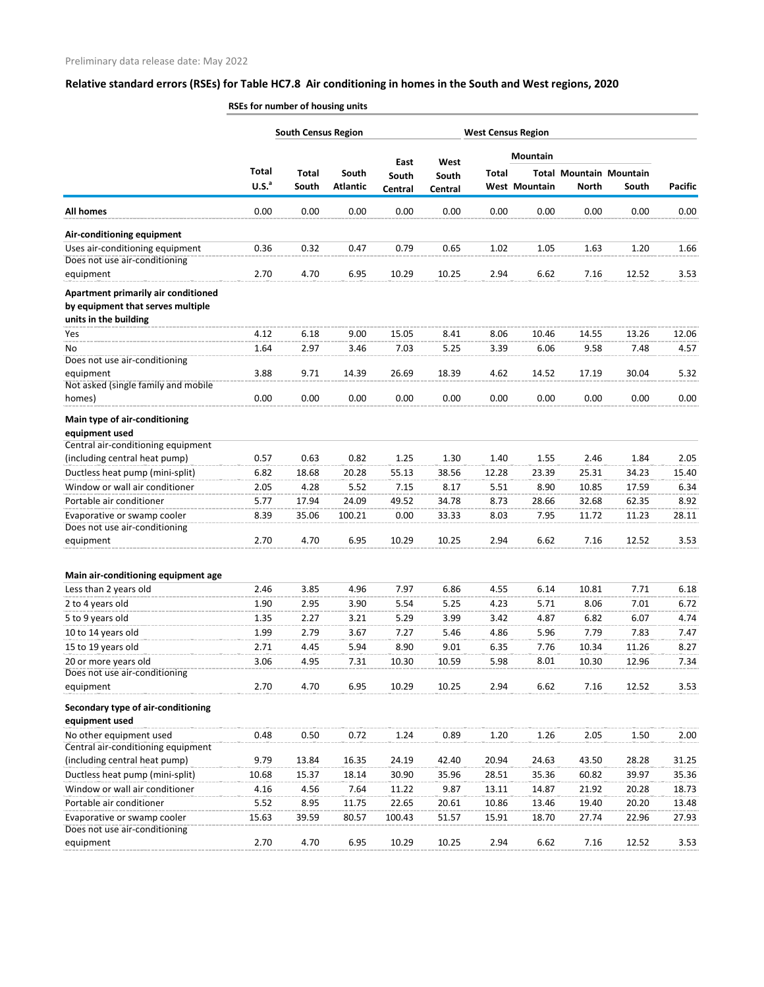|                                                                                                   | <b>South Census Region</b> |              |                 |               |               |              | <b>West Census Region</b> |                                |       |                |  |  |
|---------------------------------------------------------------------------------------------------|----------------------------|--------------|-----------------|---------------|---------------|--------------|---------------------------|--------------------------------|-------|----------------|--|--|
|                                                                                                   |                            |              |                 |               |               |              | <b>Mountain</b>           |                                |       |                |  |  |
|                                                                                                   | <b>Total</b>               | <b>Total</b> | South           | East<br>South | West<br>South | <b>Total</b> |                           | <b>Total Mountain Mountain</b> |       |                |  |  |
|                                                                                                   | U.S. <sup>a</sup>          | South        | <b>Atlantic</b> | Central       | Central       |              | <b>West Mountain</b>      | <b>North</b>                   | South | <b>Pacific</b> |  |  |
| <b>All homes</b>                                                                                  | 0.00                       | 0.00         | 0.00            | 0.00          | 0.00          | 0.00         | 0.00                      | 0.00                           | 0.00  | 0.00           |  |  |
| Air-conditioning equipment                                                                        |                            |              |                 |               |               |              |                           |                                |       |                |  |  |
| Uses air-conditioning equipment                                                                   | 0.36                       | 0.32         | 0.47            | 0.79          | 0.65          | 1.02         | 1.05                      | 1.63                           | 1.20  | 1.66           |  |  |
| Does not use air-conditioning                                                                     |                            |              |                 |               |               |              |                           |                                |       |                |  |  |
| equipment                                                                                         | 2.70                       | 4.70         | 6.95            | 10.29         | 10.25         | 2.94         | 6.62                      | 7.16                           | 12.52 | 3.53           |  |  |
| Apartment primarily air conditioned<br>by equipment that serves multiple<br>units in the building |                            |              |                 |               |               |              |                           |                                |       |                |  |  |
| Yes                                                                                               | 4.12                       | 6.18         | 9.00            | 15.05         | 8.41          | 8.06         | 10.46                     | 14.55                          | 13.26 | 12.06          |  |  |
| No                                                                                                | 1.64                       | 2.97         | 3.46            | 7.03          | 5.25          | 3.39         | 6.06                      | 9.58                           | 7.48  | 4.57           |  |  |
| Does not use air-conditioning                                                                     |                            |              |                 |               |               |              |                           |                                |       |                |  |  |
| equipment                                                                                         | 3.88                       | 9.71         | 14.39           | 26.69         | 18.39         | 4.62         | 14.52                     | 17.19                          | 30.04 | 5.32           |  |  |
| Not asked (single family and mobile                                                               |                            |              |                 |               |               |              |                           |                                |       |                |  |  |
| homes)                                                                                            | 0.00                       | 0.00         | 0.00            | 0.00          | 0.00          | 0.00         | 0.00                      | 0.00                           | 0.00  | 0.00           |  |  |
| Main type of air-conditioning<br>equipment used<br>Central air-conditioning equipment             |                            |              |                 |               |               |              |                           |                                |       |                |  |  |
| (including central heat pump)                                                                     | 0.57                       | 0.63         | 0.82            | 1.25          | 1.30          | 1.40         | 1.55                      | 2.46                           | 1.84  | 2.05           |  |  |
| Ductless heat pump (mini-split)                                                                   | 6.82                       | 18.68        | 20.28           | 55.13         | 38.56         | 12.28        | 23.39                     | 25.31                          | 34.23 | 15.40          |  |  |
| Window or wall air conditioner                                                                    | 2.05                       | 4.28         | 5.52            | 7.15          | 8.17          | 5.51         | 8.90                      | 10.85                          | 17.59 | 6.34           |  |  |
| Portable air conditioner                                                                          | 5.77                       | 17.94        | 24.09           | 49.52         | 34.78         | 8.73         | 28.66                     | 32.68                          | 62.35 | 8.92           |  |  |
| Evaporative or swamp cooler<br>Does not use air-conditioning                                      | 8.39                       | 35.06        | 100.21          | 0.00          | 33.33         | 8.03         | 7.95                      | 11.72                          | 11.23 | 28.11          |  |  |
| equipment                                                                                         | 2.70                       | 4.70         | 6.95            | 10.29         | 10.25         | 2.94         | 6.62                      | 7.16                           | 12.52 | 3.53           |  |  |
|                                                                                                   |                            |              |                 |               |               |              |                           |                                |       |                |  |  |
| Main air-conditioning equipment age                                                               |                            |              |                 |               |               |              |                           |                                |       |                |  |  |
| Less than 2 years old                                                                             | 2.46                       | 3.85         | 4.96            | 7.97          | 6.86          | 4.55         | 6.14                      | 10.81                          | 7.71  | 6.18           |  |  |
| 2 to 4 years old                                                                                  | 1.90                       | 2.95         | 3.90            | 5.54          | 5.25          | 4.23         | 5.71                      | 8.06                           | 7.01  | 6.72           |  |  |
| 5 to 9 years old                                                                                  | 1.35                       | 2.27         | 3.21            | 5.29          | 3.99          | 3.42         | 4.87                      | 6.82                           | 6.07  | 4.74           |  |  |
| 10 to 14 years old                                                                                | 1.99                       | 2.79         | 3.67            | 7.27          | 5.46          | 4.86         | 5.96                      | 7.79                           | 7.83  | 7.47           |  |  |
| 15 to 19 years old                                                                                | 2.71                       | 4.45         | 5.94            | 8.90          | 9.01          | 6.35         | 7.76                      | 10.34                          | 11.26 | 8.27           |  |  |
| 20 or more years old                                                                              | 3.06                       | 4.95         | 7.31            | 10.30         | 10.59         | 5.98         | 8.01                      | 10.30                          | 12.96 | 7.34           |  |  |
| Does not use air-conditioning                                                                     |                            |              |                 |               |               |              |                           |                                |       |                |  |  |
| equipment                                                                                         | 2.70                       | 4.70         | 6.95            | 10.29         | 10.25         | 2.94         | 6.62                      | 7.16                           | 12.52 | 3.53           |  |  |
| Secondary type of air-conditioning<br>equipment used                                              |                            |              |                 |               |               |              |                           |                                |       |                |  |  |
| No other equipment used                                                                           | 0.48                       | 0.50         | 0.72            | 1.24          | 0.89          | 1.20         | 1.26                      | 2.05                           | 1.50  | 2.00           |  |  |
| Central air-conditioning equipment                                                                |                            |              |                 |               |               |              |                           |                                |       |                |  |  |
| (including central heat pump)                                                                     | 9.79                       | 13.84        | 16.35           | 24.19         | 42.40         | 20.94        | 24.63                     | 43.50                          | 28.28 | 31.25          |  |  |
| Ductless heat pump (mini-split)                                                                   | 10.68                      | 15.37        | 18.14           | 30.90         | 35.96         | 28.51        | 35.36                     | 60.82                          | 39.97 | 35.36          |  |  |
| Window or wall air conditioner                                                                    | 4.16                       | 4.56         | 7.64            | 11.22         | 9.87          | 13.11        | 14.87                     | 21.92                          | 20.28 | 18.73          |  |  |
| Portable air conditioner                                                                          | 5.52                       | 8.95         | 11.75           | 22.65         | 20.61         | 10.86        | 13.46                     | 19.40                          | 20.20 | 13.48          |  |  |
| Evaporative or swamp cooler                                                                       | 15.63                      | 39.59        | 80.57           | 100.43        | 51.57         | 15.91        | 18.70                     | 27.74                          | 22.96 | 27.93          |  |  |
| Does not use air-conditioning<br>equipment                                                        | 2.70                       | 4.70         | 6.95            | 10.29         | 10.25         | 2.94         | 6.62                      | 7.16                           | 12.52 | 3.53           |  |  |
|                                                                                                   |                            |              |                 |               |               |              |                           |                                |       |                |  |  |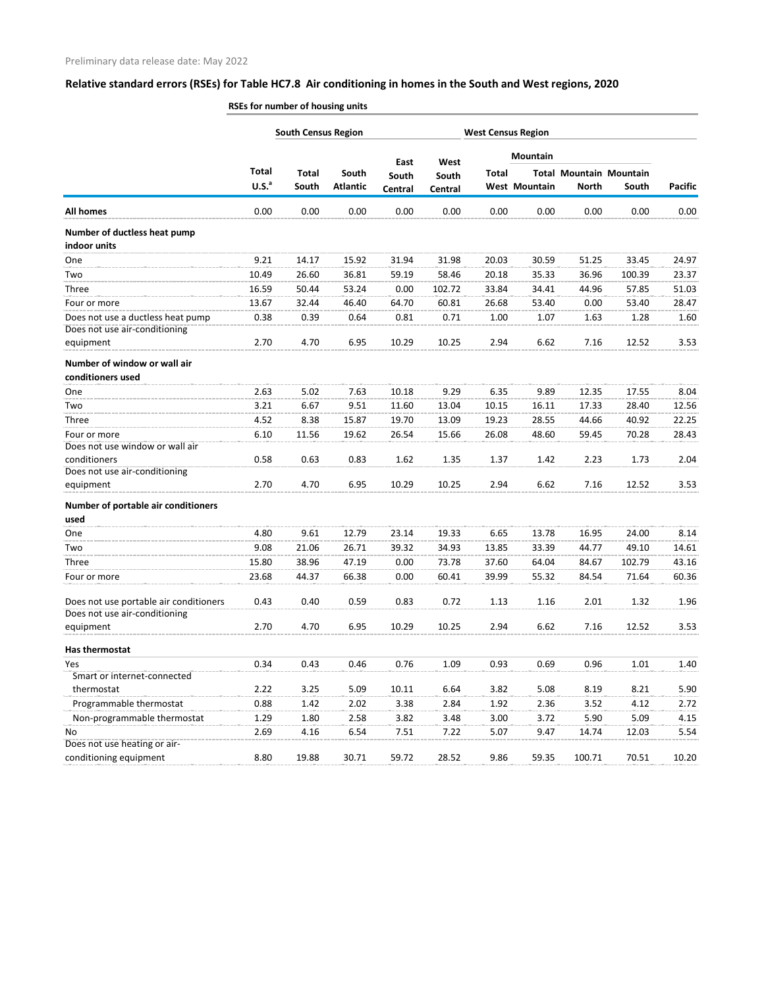|                                                                         |                                   | <b>South Census Region</b> |                          |                                 |                          |              | <b>West Census Region</b> |                                                |        |                |
|-------------------------------------------------------------------------|-----------------------------------|----------------------------|--------------------------|---------------------------------|--------------------------|--------------|---------------------------|------------------------------------------------|--------|----------------|
|                                                                         |                                   |                            |                          |                                 |                          |              | <b>Mountain</b>           |                                                |        |                |
|                                                                         | <b>Total</b><br>U.S. <sup>a</sup> | <b>Total</b><br>South      | South<br><b>Atlantic</b> | East<br>South<br><b>Central</b> | West<br>South<br>Central | <b>Total</b> | <b>West Mountain</b>      | <b>Total Mountain Mountain</b><br><b>North</b> | South  | <b>Pacific</b> |
| <b>All homes</b>                                                        | 0.00                              | 0.00                       | 0.00                     | 0.00                            | 0.00                     | 0.00         | 0.00                      | 0.00                                           | 0.00   | 0.00           |
| Number of ductless heat pump<br>indoor units                            |                                   |                            |                          |                                 |                          |              |                           |                                                |        |                |
| One                                                                     | 9.21                              | 14.17                      | 15.92                    | 31.94                           | 31.98                    | 20.03        | 30.59                     | 51.25                                          | 33.45  | 24.97          |
| Two                                                                     | 10.49                             | 26.60                      | 36.81                    | 59.19                           | 58.46                    | 20.18        | 35.33                     | 36.96                                          | 100.39 | 23.37          |
| Three                                                                   | 16.59                             | 50.44                      | 53.24                    | 0.00                            | 102.72                   | 33.84        | 34.41                     | 44.96                                          | 57.85  | 51.03          |
| Four or more                                                            | 13.67                             | 32.44                      | 46.40                    | 64.70                           | 60.81                    | 26.68        | 53.40                     | 0.00                                           | 53.40  | 28.47          |
| Does not use a ductless heat pump<br>Does not use air-conditioning      | 0.38                              | 0.39                       | 0.64                     | 0.81                            | 0.71                     | 1.00         | 1.07                      | 1.63                                           | 1.28   | 1.60           |
| equipment                                                               | 2.70                              | 4.70                       | 6.95                     | 10.29                           | 10.25                    | 2.94         | 6.62                      | 7.16                                           | 12.52  | 3.53           |
| Number of window or wall air<br>conditioners used                       |                                   |                            |                          |                                 |                          |              |                           |                                                |        |                |
| One                                                                     | 2.63                              | 5.02                       | 7.63                     | 10.18                           | 9.29                     | 6.35         | 9.89                      | 12.35                                          | 17.55  | 8.04           |
| Two                                                                     | 3.21                              | 6.67                       | 9.51                     | 11.60                           | 13.04                    | 10.15        | 16.11                     | 17.33                                          | 28.40  | 12.56          |
| Three                                                                   | 4.52                              | 8.38                       | 15.87                    | 19.70                           | 13.09                    | 19.23        | 28.55                     | 44.66                                          | 40.92  | 22.25          |
| Four or more                                                            | 6.10                              | 11.56                      | 19.62                    | 26.54                           | 15.66                    | 26.08        | 48.60                     | 59.45                                          | 70.28  | 28.43          |
| Does not use window or wall air                                         |                                   |                            |                          |                                 |                          |              |                           |                                                |        |                |
| conditioners                                                            | 0.58                              | 0.63                       | 0.83                     | 1.62                            | 1.35                     | 1.37         | 1.42                      | 2.23                                           | 1.73   | 2.04           |
| Does not use air-conditioning<br>equipment                              | 2.70                              | 4.70                       | 6.95                     | 10.29                           | 10.25                    | 2.94         | 6.62                      | 7.16                                           | 12.52  | 3.53           |
| Number of portable air conditioners                                     |                                   |                            |                          |                                 |                          |              |                           |                                                |        |                |
| used                                                                    |                                   |                            |                          |                                 |                          |              |                           |                                                |        |                |
| One                                                                     | 4.80                              | 9.61                       | 12.79                    | 23.14                           | 19.33                    | 6.65         | 13.78                     | 16.95                                          | 24.00  | 8.14           |
| Two                                                                     | 9.08                              | 21.06                      | 26.71                    | 39.32                           | 34.93                    | 13.85        | 33.39                     | 44.77                                          | 49.10  | 14.61          |
| Three                                                                   | 15.80                             | 38.96                      | 47.19                    | 0.00                            | 73.78                    | 37.60        | 64.04                     | 84.67                                          | 102.79 | 43.16          |
| Four or more                                                            | 23.68                             | 44.37                      | 66.38                    | 0.00                            | 60.41                    | 39.99        | 55.32                     | 84.54                                          | 71.64  | 60.36          |
| Does not use portable air conditioners<br>Does not use air-conditioning | 0.43                              | 0.40                       | 0.59                     | 0.83                            | 0.72                     | 1.13         | 1.16                      | 2.01                                           | 1.32   | 1.96           |
| equipment                                                               | 2.70                              | 4.70                       | 6.95                     | 10.29                           | 10.25                    | 2.94         | 6.62                      | 7.16                                           | 12.52  | 3.53           |
| Has thermostat                                                          |                                   |                            |                          |                                 |                          |              |                           |                                                |        |                |
| Yes                                                                     | 0.34                              | 0.43                       | 0.46                     | 0.76                            | 1.09                     | 0.93         | 0.69                      | 0.96                                           | 1.01   | 1.40           |
| Smart or internet-connected                                             |                                   |                            |                          |                                 |                          |              |                           |                                                |        |                |
| thermostat                                                              | 2.22                              | 3.25                       | 5.09                     | 10.11                           | 6.64                     | 3.82         | 5.08                      | 8.19                                           | 8.21   | 5.90           |
| Programmable thermostat                                                 | 0.88                              | 1.42                       | 2.02                     | 3.38                            | 2.84                     | 1.92         | 2.36                      | 3.52                                           | 4.12   | 2.72           |
| Non-programmable thermostat                                             | 1.29                              | 1.80                       | 2.58                     | 3.82                            | 3.48                     | 3.00         | 3.72                      | 5.90                                           | 5.09   | 4.15           |
| No                                                                      | 2.69                              | 4.16                       | 6.54                     | 7.51                            | 7.22                     | 5.07         | 9.47                      | 14.74                                          | 12.03  | 5.54           |
| Does not use heating or air-                                            |                                   |                            |                          |                                 |                          |              |                           |                                                |        |                |
| conditioning equipment                                                  | 8.80                              | 19.88                      | 30.71                    | 59.72                           | 28.52                    | 9.86         | 59.35                     | 100.71                                         | 70.51  | 10.20          |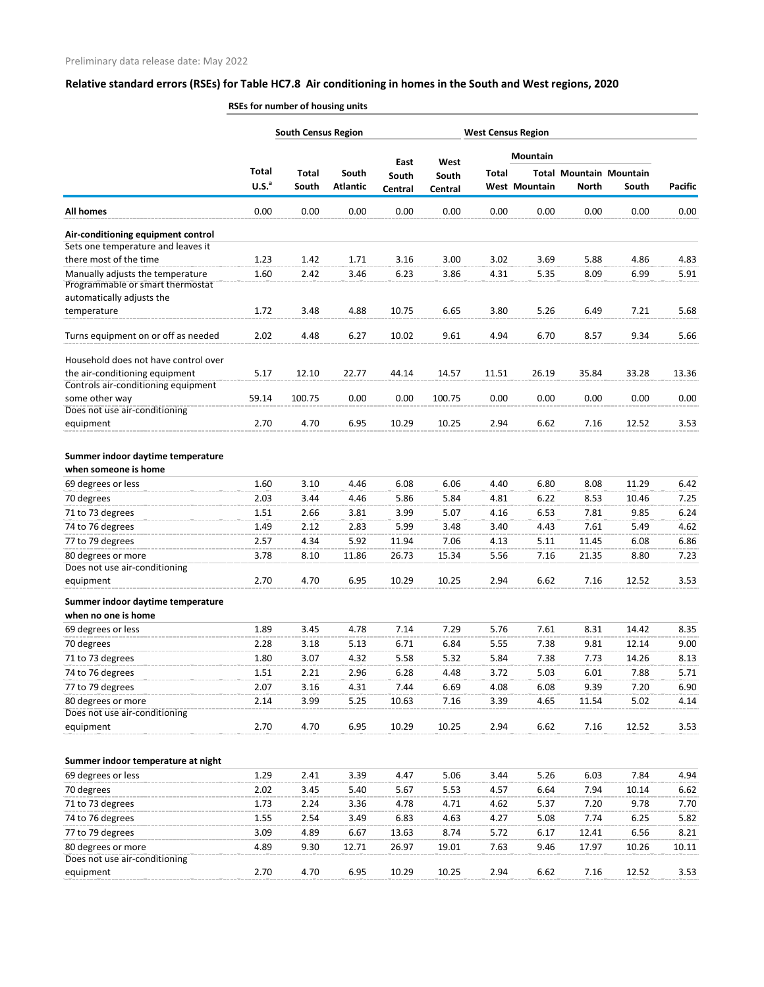|                                                                                                   |                            | <b>South Census Region</b> |                          |                  |                  | <b>West Census Region</b> |                      |                                                |       |                |
|---------------------------------------------------------------------------------------------------|----------------------------|----------------------------|--------------------------|------------------|------------------|---------------------------|----------------------|------------------------------------------------|-------|----------------|
|                                                                                                   |                            |                            |                          | East             | West             |                           | Mountain             |                                                |       |                |
|                                                                                                   | Total<br>U.S. <sup>a</sup> | <b>Total</b><br>South      | South<br><b>Atlantic</b> | South<br>Central | South<br>Central | <b>Total</b>              | <b>West Mountain</b> | <b>Total Mountain Mountain</b><br><b>North</b> | South | <b>Pacific</b> |
| <b>All homes</b>                                                                                  | 0.00                       | 0.00                       | 0.00                     | 0.00             | 0.00             | 0.00                      | 0.00                 | 0.00                                           | 0.00  | 0.00           |
| Air-conditioning equipment control                                                                |                            |                            |                          |                  |                  |                           |                      |                                                |       |                |
| Sets one temperature and leaves it                                                                |                            |                            |                          |                  |                  |                           |                      |                                                |       |                |
| there most of the time                                                                            | 1.23                       | 1.42                       | 1.71                     | 3.16             | 3.00             | 3.02                      | 3.69                 | 5.88                                           | 4.86  | 4.83           |
| Manually adjusts the temperature<br>Programmable or smart thermostat<br>automatically adjusts the | 1.60                       | 2.42                       | 3.46                     | 6.23             | 3.86             | 4.31                      | 5.35                 | 8.09                                           | 6.99  | 5.91           |
| temperature                                                                                       | 1.72                       | 3.48                       | 4.88                     | 10.75            | 6.65             | 3.80                      | 5.26                 | 6.49                                           | 7.21  | 5.68           |
|                                                                                                   |                            |                            |                          |                  |                  |                           |                      |                                                |       |                |
| Turns equipment on or off as needed                                                               | 2.02                       | 4.48                       | 6.27                     | 10.02            | 9.61             | 4.94                      | 6.70                 | 8.57                                           | 9.34  | 5.66           |
| Household does not have control over                                                              |                            |                            |                          |                  |                  |                           |                      |                                                |       |                |
| the air-conditioning equipment<br>Controls air-conditioning equipment                             | 5.17                       | 12.10                      | 22.77                    | 44.14            | 14.57            | 11.51                     | 26.19                | 35.84                                          | 33.28 | 13.36          |
| some other way                                                                                    | 59.14                      | 100.75                     | 0.00                     | 0.00             | 100.75           | 0.00                      | 0.00                 | 0.00                                           | 0.00  | 0.00           |
| Does not use air-conditioning                                                                     | 2.70                       |                            |                          |                  |                  |                           |                      |                                                |       |                |
| equipment                                                                                         |                            | 4.70                       | 6.95                     | 10.29            | 10.25            | 2.94                      | 6.62                 | 7.16                                           | 12.52 | 3.53           |
| Summer indoor daytime temperature<br>when someone is home                                         |                            |                            |                          |                  |                  |                           |                      |                                                |       |                |
| 69 degrees or less                                                                                | 1.60                       | 3.10                       | 4.46                     | 6.08             | 6.06             | 4.40                      | 6.80                 | 8.08                                           | 11.29 | 6.42           |
| 70 degrees                                                                                        | 2.03                       | 3.44                       | 4.46                     | 5.86             | 5.84             | 4.81                      | 6.22                 | 8.53                                           | 10.46 | 7.25           |
| 71 to 73 degrees                                                                                  | 1.51                       | 2.66                       | 3.81                     | 3.99             | 5.07             | 4.16                      | 6.53                 | 7.81                                           | 9.85  | 6.24           |
| 74 to 76 degrees                                                                                  | 1.49                       | 2.12                       | 2.83                     | 5.99             | 3.48             | 3.40                      | 4.43                 | 7.61                                           | 5.49  | 4.62           |
| 77 to 79 degrees                                                                                  | 2.57                       | 4.34                       | 5.92                     | 11.94            | 7.06             | 4.13                      | 5.11                 | 11.45                                          | 6.08  | 6.86           |
| 80 degrees or more                                                                                | 3.78                       | 8.10                       | 11.86                    | 26.73            | 15.34            | 5.56                      | 7.16                 | 21.35                                          | 8.80  | 7.23           |
| Does not use air-conditioning                                                                     |                            |                            |                          |                  |                  |                           |                      |                                                |       |                |
| equipment                                                                                         | 2.70                       | 4.70                       | 6.95                     | 10.29            | 10.25            | 2.94                      | 6.62                 | 7.16                                           | 12.52 | 3.53           |
| Summer indoor daytime temperature<br>when no one is home                                          |                            |                            |                          |                  |                  |                           |                      |                                                |       |                |
| 69 degrees or less                                                                                | 1.89                       | 3.45                       | 4.78                     | 7.14             | 7.29             | 5.76                      | 7.61                 | 8.31                                           | 14.42 | 8.35           |
| 70 degrees                                                                                        | 2.28                       | 3.18                       | 5.13                     | 6.71             | 6.84             | 5.55                      | 7.38                 | 9.81                                           | 12.14 | 9.00           |
| 71 to 73 degrees                                                                                  | 1.80                       | 3.07                       | 4.32                     | 5.58             | 5.32             | 5.84                      | 7.38                 | 7.73                                           | 14.26 | 8.13           |
| 74 to 76 degrees                                                                                  | 1.51                       | 2.21                       | 2.96                     | 6.28             | 4.48             | 3.72                      | 5.03                 | 6.01                                           | 7.88  | 5.71           |
| 77 to 79 degrees                                                                                  | 2.07                       | 3.16                       | 4.31                     | 7.44             | 6.69             | 4.08                      | 6.08                 | 9.39                                           | 7.20  | 6.90           |
| 80 degrees or more                                                                                | 2.14                       | 3.99                       | 5.25                     | 10.63            | 7.16             | 3.39                      | 4.65                 | 11.54                                          | 5.02  | 4.14           |
| Does not use air-conditioning                                                                     |                            |                            |                          |                  |                  |                           |                      |                                                |       |                |
| equipment                                                                                         | 2.70                       | 4.70                       | 6.95                     | 10.29            | 10.25            | 2.94                      | 6.62                 | 7.16                                           | 12.52 | 3.53           |
| Summer indoor temperature at night                                                                |                            |                            |                          |                  |                  |                           |                      |                                                |       |                |
| 69 degrees or less                                                                                | 1.29                       | 2.41                       | 3.39                     | 4.47             | 5.06             | 3.44                      | 5.26                 | 6.03                                           | 7.84  | 4.94           |
| 70 degrees                                                                                        | 2.02                       | 3.45                       | 5.40                     | 5.67             | 5.53             | 4.57                      | 6.64                 | 7.94                                           | 10.14 | 6.62           |
| 71 to 73 degrees                                                                                  | 1.73                       | 2.24                       | 3.36                     | 4.78             | 4.71             | 4.62                      | 5.37                 | 7.20                                           | 9.78  | 7.70           |
| 74 to 76 degrees                                                                                  | 1.55                       | 2.54                       | 3.49                     | 6.83             | 4.63             | 4.27                      | 5.08                 | 7.74                                           | 6.25  | 5.82           |
| 77 to 79 degrees                                                                                  | 3.09                       | 4.89                       | 6.67                     | 13.63            | 8.74             | 5.72                      | 6.17                 | 12.41                                          | 6.56  | 8.21           |
| 80 degrees or more<br>Does not use air-conditioning                                               | 4.89                       | 9.30                       | 12.71                    | 26.97            | 19.01            | 7.63                      | 9.46                 | 17.97                                          | 10.26 | 10.11          |
| equipment                                                                                         | 2.70                       | 4.70                       | 6.95                     | 10.29            | 10.25            | 2.94                      | 6.62                 | 7.16                                           | 12.52 | 3.53           |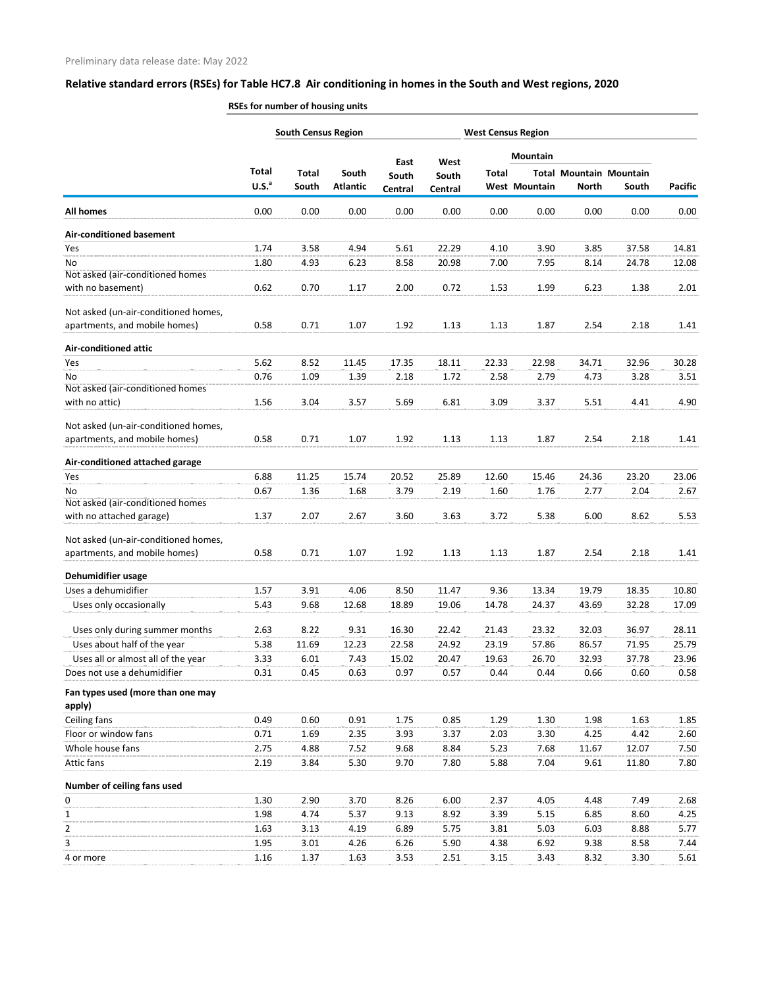|                                                                       |                                   | <b>South Census Region</b> |                          |                          |                          |              | <b>West Census Region</b> |              |                                         |                |  |  |  |
|-----------------------------------------------------------------------|-----------------------------------|----------------------------|--------------------------|--------------------------|--------------------------|--------------|---------------------------|--------------|-----------------------------------------|----------------|--|--|--|
|                                                                       |                                   |                            |                          |                          |                          |              | <b>Mountain</b>           |              |                                         |                |  |  |  |
|                                                                       | <b>Total</b><br>U.S. <sup>a</sup> | <b>Total</b><br>South      | South<br><b>Atlantic</b> | East<br>South<br>Central | West<br>South<br>Central | <b>Total</b> | West Mountain             | <b>North</b> | <b>Total Mountain Mountain</b><br>South | <b>Pacific</b> |  |  |  |
| <b>All homes</b>                                                      | 0.00                              | 0.00                       | 0.00                     | 0.00                     | 0.00                     | 0.00         | 0.00                      | 0.00         | 0.00                                    | 0.00           |  |  |  |
| Air-conditioned basement                                              |                                   |                            |                          |                          |                          |              |                           |              |                                         |                |  |  |  |
| Yes                                                                   | 1.74                              | 3.58                       | 4.94                     | 5.61                     | 22.29                    | 4.10         | 3.90                      | 3.85         | 37.58                                   | 14.81          |  |  |  |
| No                                                                    | 1.80                              | 4.93                       | 6.23                     | 8.58                     | 20.98                    | 7.00         | 7.95                      | 8.14         | 24.78                                   | 12.08          |  |  |  |
| Not asked (air-conditioned homes                                      |                                   |                            |                          |                          |                          |              |                           |              |                                         |                |  |  |  |
| with no basement)                                                     | 0.62                              | 0.70                       | 1.17                     | 2.00                     | 0.72                     | 1.53         | 1.99                      | 6.23         | 1.38                                    | 2.01           |  |  |  |
| Not asked (un-air-conditioned homes,<br>apartments, and mobile homes) | 0.58                              | 0.71                       | 1.07                     | 1.92                     | 1.13                     | 1.13         | 1.87                      | 2.54         | 2.18                                    | 1.41           |  |  |  |
| <b>Air-conditioned attic</b>                                          |                                   |                            |                          |                          |                          |              |                           |              |                                         |                |  |  |  |
| Yes                                                                   | 5.62                              | 8.52                       | 11.45                    | 17.35                    | 18.11                    | 22.33        | 22.98                     | 34.71        | 32.96                                   | 30.28          |  |  |  |
| No                                                                    | 0.76                              | 1.09                       | 1.39                     | 2.18                     | 1.72                     | 2.58         | 2.79                      | 4.73         | 3.28                                    | 3.51           |  |  |  |
| Not asked (air-conditioned homes<br>with no attic)                    | 1.56                              | 3.04                       | 3.57                     | 5.69                     | 6.81                     | 3.09         | 3.37                      | 5.51         | 4.41                                    | 4.90           |  |  |  |
|                                                                       |                                   |                            |                          |                          |                          |              |                           |              |                                         |                |  |  |  |
| Not asked (un-air-conditioned homes,<br>apartments, and mobile homes) | 0.58                              | 0.71                       | 1.07                     | 1.92                     | 1.13                     | 1.13         | 1.87                      | 2.54         | 2.18                                    | 1.41           |  |  |  |
|                                                                       |                                   |                            |                          |                          |                          |              |                           |              |                                         |                |  |  |  |
| Air-conditioned attached garage                                       |                                   |                            |                          |                          |                          |              |                           |              |                                         |                |  |  |  |
| Yes                                                                   | 6.88                              | 11.25                      | 15.74                    | 20.52                    | 25.89                    | 12.60        | 15.46                     | 24.36        | 23.20                                   | 23.06          |  |  |  |
| No<br>Not asked (air-conditioned homes                                | 0.67                              | 1.36                       | 1.68                     | 3.79                     | 2.19                     | 1.60         | 1.76                      | 2.77         | 2.04                                    | 2.67           |  |  |  |
| with no attached garage)                                              | 1.37                              | 2.07                       | 2.67                     | 3.60                     | 3.63                     | 3.72         | 5.38                      | 6.00         | 8.62                                    | 5.53           |  |  |  |
| Not asked (un-air-conditioned homes,                                  |                                   |                            |                          |                          |                          |              |                           |              |                                         |                |  |  |  |
| apartments, and mobile homes)                                         | 0.58                              | 0.71                       | 1.07                     | 1.92                     | 1.13                     | 1.13         | 1.87                      | 2.54         | 2.18                                    | 1.41           |  |  |  |
| Dehumidifier usage                                                    |                                   |                            |                          |                          |                          |              |                           |              |                                         |                |  |  |  |
| Uses a dehumidifier                                                   | 1.57                              | 3.91                       | 4.06                     | 8.50                     | 11.47                    | 9.36         | 13.34                     | 19.79        | 18.35                                   | 10.80          |  |  |  |
| Uses only occasionally                                                | 5.43                              | 9.68                       | 12.68                    | 18.89                    | 19.06                    | 14.78        | 24.37                     | 43.69        | 32.28                                   | 17.09          |  |  |  |
| Uses only during summer months                                        | 2.63                              | 8.22                       | 9.31                     | 16.30                    | 22.42                    | 21.43        | 23.32                     | 32.03        | 36.97                                   | 28.11          |  |  |  |
| Uses about half of the year                                           | 5.38                              | 11.69                      | 12.23                    | 22.58                    | 24.92                    | 23.19        | 57.86                     | 86.57        | 71.95                                   | 25.79          |  |  |  |
| Uses all or almost all of the year                                    | 3.33                              | 6.01                       | 7.43                     | 15.02                    | 20.47                    | 19.63        | 26.70                     | 32.93        | 37.78                                   | 23.96          |  |  |  |
| Does not use a dehumidifier                                           | 0.31                              | 0.45                       | 0.63                     | 0.97                     | 0.57                     | 0.44         | 0.44                      | 0.66         | 0.60                                    | 0.58           |  |  |  |
| Fan types used (more than one may<br>apply)                           |                                   |                            |                          |                          |                          |              |                           |              |                                         |                |  |  |  |
| Ceiling fans                                                          | 0.49                              | 0.60                       | 0.91                     | 1.75                     | 0.85                     | 1.29         | 1.30                      | 1.98         | 1.63                                    | 1.85           |  |  |  |
| Floor or window fans                                                  | 0.71                              | 1.69                       | 2.35                     | 3.93                     | 3.37                     | 2.03         | 3.30                      | 4.25         | 4.42                                    | 2.60           |  |  |  |
| Whole house fans                                                      | 2.75                              | 4.88                       | 7.52                     | 9.68                     | 8.84                     | 5.23         | 7.68                      | 11.67        | 12.07                                   | 7.50           |  |  |  |
| Attic fans                                                            | 2.19                              | 3.84                       | 5.30                     | 9.70                     | 7.80                     | 5.88         | 7.04                      | 9.61         | 11.80                                   | 7.80           |  |  |  |
|                                                                       |                                   |                            |                          |                          |                          |              |                           |              |                                         |                |  |  |  |
| Number of ceiling fans used<br>0                                      | 1.30                              | 2.90                       | 3.70                     | 8.26                     | 6.00                     | 2.37         | 4.05                      | 4.48         | 7.49                                    | 2.68           |  |  |  |
| 1                                                                     | 1.98                              | 4.74                       | 5.37                     | 9.13                     | 8.92                     | 3.39         | 5.15                      | 6.85         | 8.60                                    | 4.25           |  |  |  |
| 2                                                                     | 1.63                              | 3.13                       | 4.19                     | 6.89                     | 5.75                     | 3.81         | 5.03                      | 6.03         | 8.88                                    | 5.77           |  |  |  |
| 3                                                                     | 1.95                              | 3.01                       | 4.26                     | 6.26                     | 5.90                     | 4.38         | 6.92                      | 9.38         | 8.58                                    | 7.44           |  |  |  |
| 4 or more                                                             | 1.16                              | 1.37                       | 1.63                     | 3.53                     | 2.51                     | 3.15         | 3.43                      | 8.32         | 3.30                                    | 5.61           |  |  |  |
|                                                                       |                                   |                            |                          |                          |                          |              |                           |              |                                         |                |  |  |  |